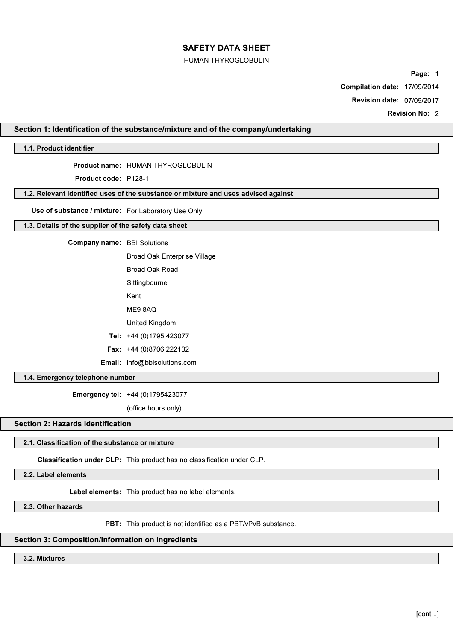### HUMAN THYROGLOBULIN

Page: 1

Compilation date: 17/09/2014

Revision date: 07/09/2017

Revision No: 2

# Section 1: Identification of the substance/mixture and of the company/undertaking

# 1.1. Product identifier

Product name: HUMAN THYROGLOBULIN

Product code: P128-1

# 1.2. Relevant identified uses of the substance or mixture and uses advised against

Use of substance / mixture: For Laboratory Use Only

# 1.3. Details of the supplier of the safety data sheet

Company name: BBI Solutions

| Broad Oak Enterprise Village        |
|-------------------------------------|
| Broad Oak Road                      |
| Sittingbourne                       |
| Kent                                |
| MF9 8AQ                             |
| United Kingdom                      |
| Tel: +44 (0)1795 423077             |
| Fax: +44 (0)8706 222132             |
| <b>Email:</b> info@bbisolutions.com |

1.4. Emergency telephone number

Emergency tel: +44 (0)1795423077

(office hours only)

# Section 2: Hazards identification

### 2.1. Classification of the substance or mixture

Classification under CLP: This product has no classification under CLP.

2.2. Label elements

Label elements: This product has no label elements.

2.3. Other hazards

PBT: This product is not identified as a PBT/vPvB substance.

# Section 3: Composition/information on ingredients

#### 3.2. Mixtures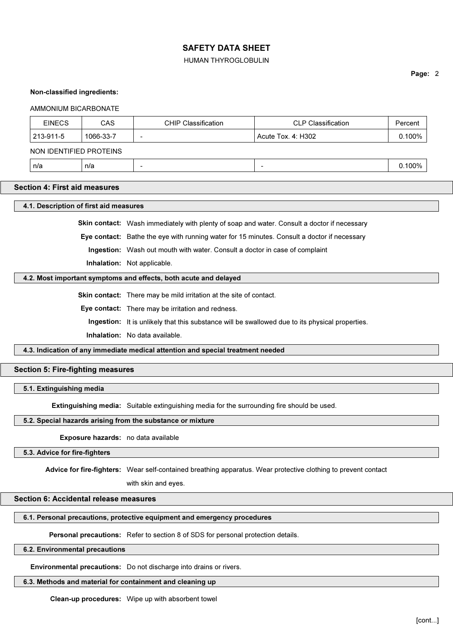#### HUMAN THYROGLOBULIN

Page: 2

#### Non-classified ingredients:

#### AMMONIUM BICARBONATE

| <b>EINECS</b>           | CAS       | <b>CHIP Classification</b> | <b>CLP Classification</b> | Percent |
|-------------------------|-----------|----------------------------|---------------------------|---------|
| 213-911-5               | 1066-33-7 | $\overline{\phantom{0}}$   | ' Acute Tox. 4: H302      | 0.100%  |
| NON IDENTIFIED PROTEINS |           |                            |                           |         |

| n/a | n/a |  |  | $0.100\%$ |
|-----|-----|--|--|-----------|
|-----|-----|--|--|-----------|

# Section 4: First aid measures

#### 4.1. Description of first aid measures

Skin contact: Wash immediately with plenty of soap and water. Consult a doctor if necessary

Eye contact: Bathe the eye with running water for 15 minutes. Consult a doctor if necessary

Ingestion: Wash out mouth with water. Consult a doctor in case of complaint

Inhalation: Not applicable.

## 4.2. Most important symptoms and effects, both acute and delayed

Skin contact: There may be mild irritation at the site of contact.

Eye contact: There may be irritation and redness.

Ingestion: It is unlikely that this substance will be swallowed due to its physical properties.

Inhalation: No data available.

4.3. Indication of any immediate medical attention and special treatment needed

# Section 5: Fire-fighting measures

# 5.1. Extinguishing media

Extinguishing media: Suitable extinguishing media for the surrounding fire should be used.

### 5.2. Special hazards arising from the substance or mixture

Exposure hazards: no data available

# 5.3. Advice for fire-fighters

Advice for fire-fighters: Wear self-contained breathing apparatus. Wear protective clothing to prevent contact

with skin and eyes.

### Section 6: Accidental release measures

#### 6.1. Personal precautions, protective equipment and emergency procedures

Personal precautions: Refer to section 8 of SDS for personal protection details.

# 6.2. Environmental precautions

Environmental precautions: Do not discharge into drains or rivers.

#### 6.3. Methods and material for containment and cleaning up

Clean-up procedures: Wipe up with absorbent towel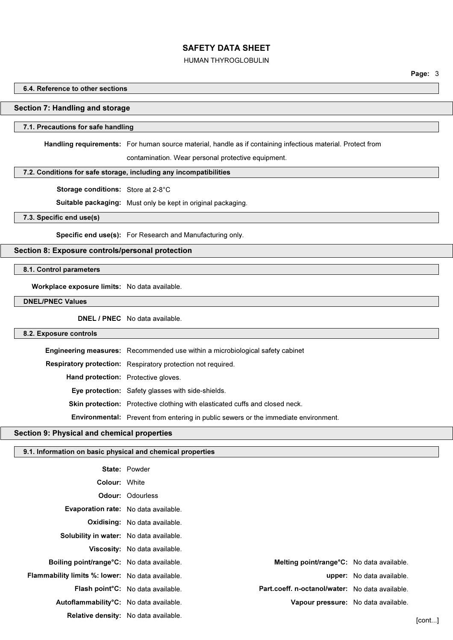### HUMAN THYROGLOBULIN

Page: 3

#### 6.4. Reference to other sections

# Section 7: Handling and storage

# 7.1. Precautions for safe handling

Handling requirements: For human source material, handle as if containing infectious material. Protect from

contamination. Wear personal protective equipment.

# 7.2. Conditions for safe storage, including any incompatibilities

Storage conditions: Store at 2-8°C

Suitable packaging: Must only be kept in original packaging.

#### 7.3. Specific end use(s)

Specific end use(s): For Research and Manufacturing only.

# Section 8: Exposure controls/personal protection

8.1. Control parameters

Workplace exposure limits: No data available.

DNEL/PNEC Values

DNEL / PNEC No data available.

# 8.2. Exposure controls

|                                            | <b>Engineering measures:</b> Recommended use within a microbiological safety cabinet       |
|--------------------------------------------|--------------------------------------------------------------------------------------------|
|                                            | <b>Respiratory protection:</b> Respiratory protection not required.                        |
| <b>Hand protection:</b> Protective gloves. |                                                                                            |
|                                            | Eye protection: Safety glasses with side-shields.                                          |
|                                            | <b>Skin protection:</b> Protective clothing with elasticated cuffs and closed neck.        |
|                                            | <b>Environmental:</b> Prevent from entering in public sewers or the immediate environment. |

# Section 9: Physical and chemical properties

#### 9.1. Information on basic physical and chemical properties

|                                                         | <b>State: Powder</b>                           |                                                   |                                  |        |
|---------------------------------------------------------|------------------------------------------------|---------------------------------------------------|----------------------------------|--------|
| <b>Colour: White</b>                                    |                                                |                                                   |                                  |        |
|                                                         | <b>Odour: Odourless</b>                        |                                                   |                                  |        |
| <b>Evaporation rate:</b> No data available.             |                                                |                                                   |                                  |        |
|                                                         | Oxidising: No data available.                  |                                                   |                                  |        |
| Solubility in water: No data available.                 |                                                |                                                   |                                  |        |
|                                                         | Viscosity: No data available.                  |                                                   |                                  |        |
| Boiling point/range <sup>o</sup> C: No data available.  |                                                | <b>Melting point/range °C:</b> No data available. |                                  |        |
| <b>Flammability limits %: lower:</b> No data available. |                                                |                                                   | <b>upper:</b> No data available. |        |
|                                                         | Flash point <sup>o</sup> C: No data available. | Part.coeff. n-octanol/water: No data available.   |                                  |        |
| Autoflammability <sup>°</sup> C: No data available.     |                                                | Vapour pressure: No data available.               |                                  |        |
|                                                         | Relative density: No data available.           |                                                   |                                  | [cont] |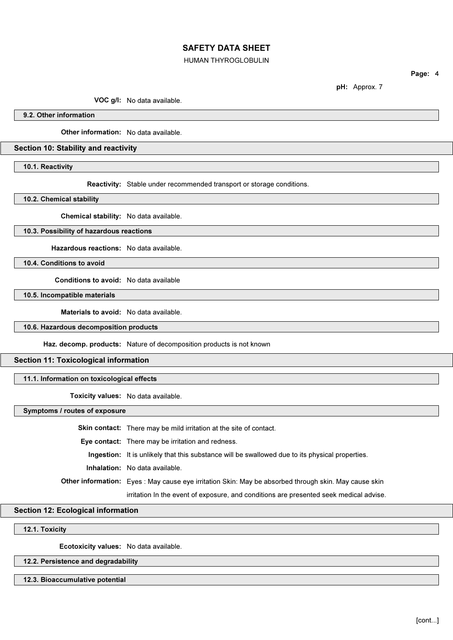### HUMAN THYROGLOBULIN

Page: 4

pH: Approx. 7

VOC g/l: No data available.

9.2. Other information

Other information: No data available.

### Section 10: Stability and reactivity

10.1. Reactivity

Reactivity: Stable under recommended transport or storage conditions.

10.2. Chemical stability

Chemical stability: No data available.

# 10.3. Possibility of hazardous reactions

Hazardous reactions: No data available.

10.4. Conditions to avoid

Conditions to avoid: No data available

10.5. Incompatible materials

Materials to avoid: No data available.

#### 10.6. Hazardous decomposition products

Haz. decomp. products: Nature of decomposition products is not known

#### Section 11: Toxicological information

# 11.1. Information on toxicological effects

Toxicity values: No data available.

Symptoms / routes of exposure

Skin contact: There may be mild irritation at the site of contact. Eye contact: There may be irritation and redness. Ingestion: It is unlikely that this substance will be swallowed due to its physical properties. Inhalation: No data available. Other information: Eyes : May cause eye irritation Skin: May be absorbed through skin. May cause skin irritation In the event of exposure, and conditions are presented seek medical advise.

# Section 12: Ecological information

# 12.1. Toxicity

Ecotoxicity values: No data available.

## 12.2. Persistence and degradability

#### 12.3. Bioaccumulative potential